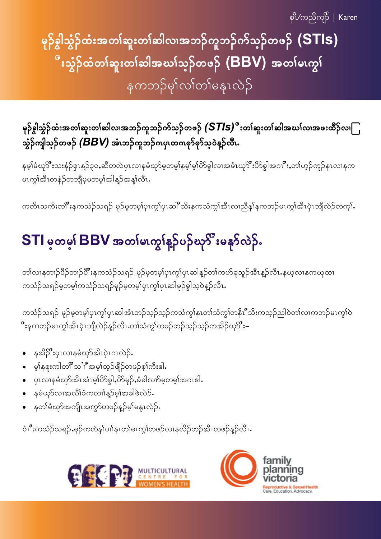စုံိ/ကညီကုဉ် | Karen

မှဉ်စွါသွံဉ်ထံးအတၤ်ဆူးတၤ်ဆါလ၊အဘဉ်ကူဘဉ်က်သွဉ်တဖဉ် (STIs) ီးသွံဉ်ထံတ $\mathsf{i}$ ဆူးတ $\mathsf{i}$ ဆါအဃ $\mathsf{i}$ သ္၄်တဖ $\mathsf{\boldsymbol{\beta}}\mathsf{ }$  ( $\mathsf{BBV)}$  အတ $\mathsf{i}$ မၤကွ $\mathsf{i}$ နကဘဉ်မှါလါတါမနုၤလဲဉ်

မှဉ်စွါသွံဉ်ထံးအတၤ်ဆူးတၤ်ဆါလ၊အဘဉ်ကူဘဉ်က်သ္ဉာ်တဖဉ်  $\left(\textsf{STIs}\right)^{\alpha}$ းတၤ်ဆူးတၤ်ဆါအဃၤ်လ၊အဖးထိဉ်လ၊ $\Box$ သွံဉ်ကျါသ္ဉ်တဖဉ် *(BBV)* အဲၤဘဉ်ကူဘဉ်ဂၤပှၤတဂၤစု၁်စု၁်သဲ့ဝဲနဉ်လီၤ.

နမ့္ပ်ံမံယုိးသးနံဉ်စုၤန္ဉ်၃၀ႇဆီတလဲပုၤလၢနမံယုာ်မ့တမ့္ပ်နမ့္ပ်မ္ပ်ပိၥ်ခွါလၢအမံၤဃုိးပိာ်ခွါအဂၤ်ိဳးႇတၢ်ဟ္ဉ်ကူဉ်နၤလၢနက မၤက္ဂၢ်အီၤတနံဉ်တဘျိမ့မတမ့ၢ်အါန္ဉာ်အန္၊်လီၤ

ကတိၤသကိးတ၊ိဳးနကသံဉ်သရဉ် မုဉ်မ့တမ့္ပ်ပုၤက္င္ပ္ပ်ပ္ၤဆါိဳသိးနကသံကွၤ်အီၤလၢညီနုၤ်နကဘဉ်မၤကွၤ်အီၤပုဲၤဘျီလဲဉ်တက္၊်ႉ

# STI မှတမှု၊ BBV အတုမ်းကျွန်ဥပဉ်ဃု<sup>င္စာ</sup>းမန**ာ်လဲ**ဉ်.

တၢဴလၢနတၢဉ်ပိဉ်တၢဉ်ပိံဳးနကသံဉ်သရဉ် မုဉ်မ့တမ့ၢ်ပှၤကွၢ်ပှၤဆါန္ဉာတၢ်ကဟ်ခူသူဉ်အီၤန္ဉာလီၤ.နယ့လၢနကယုထ၊ ကသံဉ်သရဉ်မှတမ့<sup>ရ</sup>ကသံဉ်သရဉ်မှဉ်မဲ့တမ့<sup>ရ</sup>ပုၤကွၢ်ပုၤဆါမှဉ်ခွါသဲ့ဝဲနူဉ်လီၤ**.** 

ကသံဉ်သရဉ် မှဉ်မဲ့တမ့်္ဂပုၤက္ဂၢိပုၤဆါအံၤဘဉ်သ့ဉ်သူဉ်ကသံကျွှနၤတၢ်သံကျွှ်တနိုၤီသိးကသူဉ်ညါဝဲတၢ်လၢကဘဉ်မၤကျွှဝ် ိဳးနကဘဉ်မၤကွၢ်အီၤပုဲၤဘျီလဲဉ်န္ဉ်လီၤႉတၢ်သံကွၢ်တဖဉ်ဘဉ်သ့ဉ်ဘုဘိုကအိဉ်ယု**ိ း**–

- နအိုဦးပုၤလၢနမံဃုာအီၤပုၤဂၤလဲဉ်.  $\bullet$
- မ့ါနစူးကါတ<sup>8</sup>သႛိီအမ့ၢ်ထ္ဉ်ဖျိဉ်တဖဉ်စ့ၢ်ကီးဓါ**.**
- ပုၤလၢနမံယှာ်အီၤအံၤမ့္ပ်ပိ§ွါႇပိ>်မှဉ်ႇခံခါလၢာ်မဲ့တမ့္ပ်အဂၤဓါ۰
- နမံယုဉ်လၢအလိၢ်ခံကတၢါနူဉ်မှါအခါဖဲလဲဉ်**.**  $\bullet$
- နတၢ်မံယှာ်အကျိၤအကွာ်တဖဉ်န္**ဉ်**မ့ၢ်မနုၤလဲဉ်**.**

ဝံၤိဳးကသံဉ်သရဉ်ႇမှဉ်ကတဲန၊်ပၢါနၤတၢ်မၤကွၢ်တဖဉ်လၢနလိဉ်ဘဉ်အီၤတဖဉ်နှဉ်လီၤႉ



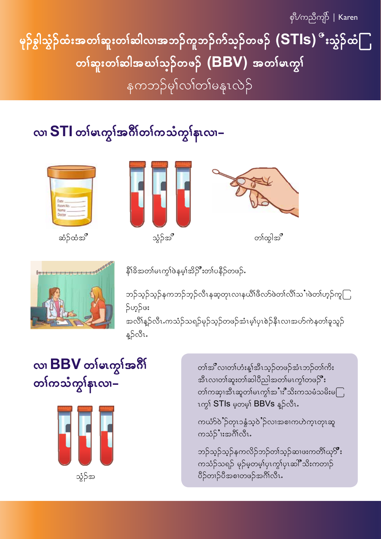စုံ $V$ ကညီကျာ် | Karen

မုဉ်စွါသွဲဉ်ထံးအတ<sup>ု</sup>်ရားတ<sup>ု့</sup>ဆါလ၊အဘဉ်ကူဘဉ်ကိုသ္**ဉ်တ**ဖဉ်  $\left(\text{STIs}\right)^{\alpha}$ းသွ်ဉ်ထံ $\bigcap$ တ<sup>န်</sup>အူးတ<sup>န်</sup>ဆါအဃ<sup>န်</sup>သဉ်တဖဉ် (BBV) အတ<sup>န်</sup>မဟွ**န်** နကဘဉ်မှါလျတစ်မနုးလဲဉ်

#### လ၊ STI တ၊်မၤတ္ပါအဂိါတ၊်ကသံကျွန်းလ၊–



ဆံဉ်ထံအိ





တ႞ထ္ပါအိ



နိ<sup>ု</sup>ခ်ိအတါမၤကွၢ်ဲဖနမ့ၢ်အိဉ်ိဳးတၢ်ပနိဉ်တဖဉ်**.** 

ဘဉ်သ့ဉ်သ့ဉ်နကဘဉ်ဘ့ဉ်လီၤနဆ့တုၤလၢနယိၢိဖိလာ်ဖဲတၢ်လိၢ်သႛၢဖဲတၢ်ဟ့ဉ်ကူြ **ှ**င့်လှ အလိၢိန္ဉ်ာလီၤႉကသံဉ်သရဉ်မှဉ်သ့ဉ်တဖဉ်အံၤမ့ၢ်ပှၤစဲဉ်နီၤလၢအဟ်ကဲနတၢ်ခူသူဉ်

န့}်လီၤ.

#### လ၊ BBV တ<sup>န်</sup>မဟုဒ်အဂိ တၢ်ကသံကွၢ်နၤလ၊–



တၢ်အိဳလ၊တၢ်ဟံးနျ်အီၤသ္ဥ်တဖဉ်အံၤဘဉ်တၢ်ကိႏ အီၤလ၊တၢ်ဆူးတၢ်ဆါပိညါအတၢ်မၤက္ဂၢ်တဖဉ်ိဳး တၢ်ကဆု၊အီၤဆူတၢ်မၤက္ဂၢ်အ**ၢ**ီသိးကသမံသမိးမ**ြ** ၤက္ဂ<sup>ု်</sup> STIs မှတမ္<sub></sub>၊် BBVs န္5လီး.

ကယံာ်ဝဲိဉ်တုၤ၁နွံသ့ဝဲိဉ်လၢအစၢကဟဲကုၤတုၤဆူ ကသံဉ်'ၢးအဂ်ိၢလိၤႉ

ဘဉ်သွဉ်သွဉ်နကလိဉ်ဘဉ်တၢ်သွဉ်ဆၢဖးကတိၢ်ယု**ိ း** ကသံဉ်သရဉ် မှဉ်မှတမ့)်ပုၤက္ဂါပုၤဆါ်ီသိးကတၢဉ် ပိဉ်တၢဉ်ပီအစၢတဖဉ်အင်္ဂိုလီၤ.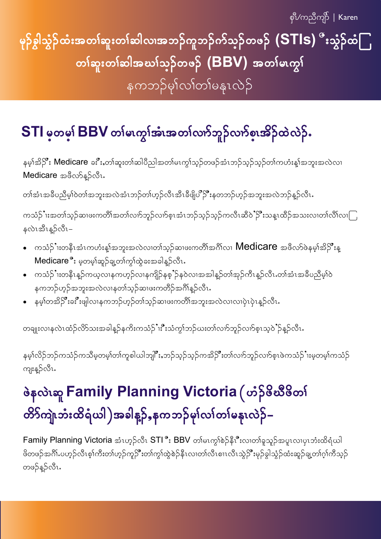## မုဉ်စွါသွံဉ်ထံးအတၤ်ဆူးတၤ်ဆါလၢအဘဉ်ကူဘဉ်က်သ္ဉ်တဖဉ်  $\mathsf{(STIs)}$  ီးသွံဉ်ထဲ $\Box$ တ<sup>န်</sup>ရှားတ<sup>န်</sup>ဆါအဃ<sup>န်</sup>သဉ်တဖဉ် (BBV) အတ<sup>န်</sup>မဟွန် နကဘဉ်မှါလါတါမနုၤလဲဉ်

### STI မှတမှု BBV တုမ်းကွာ်အီးအတုပ်လက်ဘူဉ်လက်စူးအိဉ်ထဲလဲဉ်.

နမ့္ပ်က္ဆိ**ုး Medicare** ခႏိႆးႇတ္ပါဆူးတၤ်ဆါပီညါအတၤ်မၤက္ဂၤ်သ္ဥတဖဉ်အံၤဘဉ်သူဉ်တၤ်ကဟံးန္ၤ်အဘူးအလဲလၤ Medicare အဖိလာ်နူဉ်လီး.

တၢ်အံၤအခ်ိပညိမ့ၢ်ဝဲတၢ်အဘူးအလဲအံၤဘဉ်တၢ်ဟှဉ်လီၤအီၤခီဖျိပ<sup>်ာ</sup>ဉ်ိဳးနတဘဉ်ဟ့ဉ်အဘူးအလဲဘဉ်န္<sub></sub>ဉ်လီၤႉ

ကသံဉ်ႛၢးအတၢၲသ့ဉ်ဆၢဖးကတိၢၲအတၢၲလၢာ်ဘူဉ်လၢာ်စ္ၤအံၤဘဉ်သ့ဉ်ကလီၤဆီ၀ဲႛဉ်ိႛးသန္ၤထိဉ်အသးလၢတၢၲလိၢၳလၢြ နလဲၤအီၤန္}်လီၤ–

- ကသံဉ် ၊းတနီၤအံၤကဟံးန့၊်အဘူးအလဲလၢတၢ်သ့ဉ်ဆၢဖးကတိၢ်အဂိၢ်လ၊  $\sf{Medicare}$  အဖိလာ်ဖဲနမ့၊်အိဉ် ိဳးန္ Medicare<sup>°</sup>း မှတမ့<sup>ှ</sup>ဆူဉ်ချ့တၢ်ကွၢ်ထွဲခးအခါန္**ဉ်**လီး.
- ကသံဉ်ႛၢးတနိၤန္ဉ်ကယ့လၢနကဟ့ဉ်လၢနကျိဉ်နစ့ႛဉ်န၀ဲလၢအအါန္ဉာိတၢ်အုဉ်ကီၤန္ဉာ်လီၤႉတၢ်အံၤအဓိပညိမ့ၢ်ဴဝဲ နကဘဉ်ဟ့ဉ်အဘူးအလဲလၢနတၢ်သ့ဉ်ဆ၊ဖးကတိဉ်အင်္ဂါန္ဉ်လီၤႉ
- နမ့္ပ်တအိဉ်ိဳးခႏိုးဖျါလၢနကဘဉ်ဟ့ဉ်တၢ်သ့ဉ်ဆ၊ဖးကတိၢ်အဘူးအလဲလ၊လ၊ပှဲၤပှဲၤန္ဉာလီၤ

တချုးလၢနလဲၤထံဉ်လိာ်သးအခါနူဉ်နကိႏကသံဉ်ႛ၊ႏိဳးသံကွၢ်ဘဉ်ဃးတၢ်လၢာ်ဘူဉ်လၢာ်စ့ၤသ့ဝဲႛဉ်နူဉ်လီၤႉ

နမ့ၢ်လိဉ်ဘဉ်ကသံဉ်ကသိမ့တမ့ၢ်တၢ်ကူစါယါဘျိုးဳႇဘဉ်သ့ဉ်သ့ဉ်ကအိဉ်ိဳးတၢ်လၢာ်ဘူဉ်လၢာ်စ့ၤဖဲကသံဉ်ႆၢးမ့တမ့ၢ်ကသံဉ် .<br>ကျးန္}လီၤ.

## ဖဲနလဲၤဆူ Family Planning Victoria (ဟဲ့) ဖိဆီဖိတ၊် တိ9်ကျဲၤဘံးထိရံယါ )အခါန္β်ႇနကဘဉ်မှၤ်လၤ်တၤ်မနုၤလဲဉ်–

Family Planning Victoria အံၤဟုဉ်လီၤ STI ိုး BBV တါမၤက္ဂါစဲဉ်နီၤိဳးလၢတါရှသူဉ်အပူၤလၢပုၤဘံးထိရံယါ .<br>ဖိတဖဉ်အဂိၢ်.ပဟုဉ်လီၤစ့ၢ်ကီးတၢ်ဟုဉ်ကူဉ်ိဳးတၢ်ကွၢ်ထွဲစဉ်နီၤလ၊တၢ်လီၤစၢၤလီၤသွဲဉ်ိဳးမှဉ်ခွါသွံဉ်ထံးဆူဉ်ချ့တၢ်ဂ့ၢ်ကီသုဉ် တဖဉ်န့ဉ်လီၤ**.**